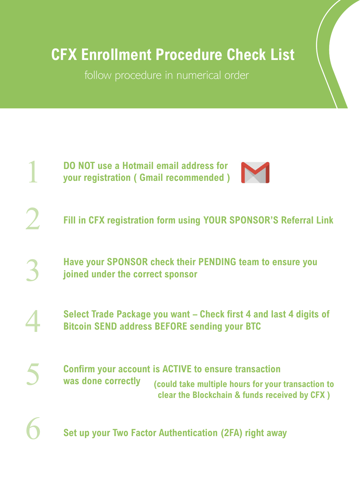## **CFX Enrollment Procedure Check List**

follow procedure in numerical order



2

5

6

**DO NOT use a Hotmail email address for your registration ( Gmail recommended )**



**Fill in CFX registration form using YOUR SPONSOR'S Referral Link**

**Have your SPONSOR check their PENDING team to ensure you joined under the correct sponsor** 3

**Select Trade Package you want – Check first 4 and last 4 digits of Bitcoin SEND address BEFORE sending your BTC**  4

**Confirm your account is ACTIVE to ensure transaction was done correctly (could take multiple hours for your transaction to clear the Blockchain & funds received by CFX )** 

**Set up your Two Factor Authentication (2FA) right away**